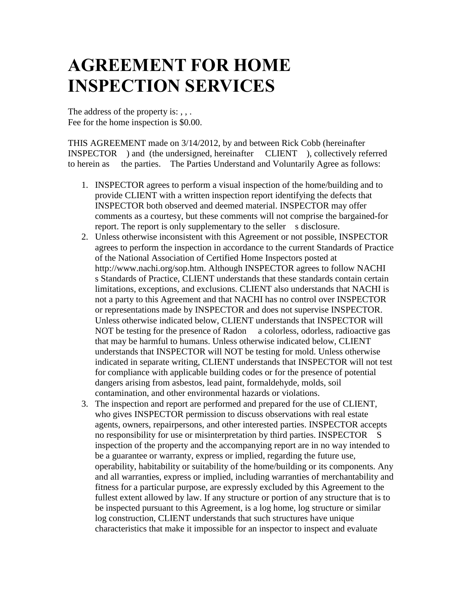## **AGREEMENT FOR HOME INSPECTION SERVICES**

The address of the property is: , , . Fee for the home inspection is \$0.00.

THIS AGREEMENT made on 3/14/2012, by and between Rick Cobb (hereinafter INSPECTOR ) and (the undersigned, hereinafter CLIENT ), collectively referred to herein as the parties. The Parties Understand and Voluntarily Agree as follows:

- 1. INSPECTOR agrees to perform a visual inspection of the home/building and to provide CLIENT with a written inspection report identifying the defects that INSPECTOR both observed and deemed material. INSPECTOR may offer comments as a courtesy, but these comments will not comprise the bargained-for report. The report is only supplementary to the seller s disclosure.
- 2. Unless otherwise inconsistent with this Agreement or not possible, INSPECTOR agrees to perform the inspection in accordance to the current Standards of Practice of the National Association of Certified Home Inspectors posted at http://www.nachi.org/sop.htm. Although INSPECTOR agrees to follow NACHI s Standards of Practice, CLIENT understands that these standards contain certain limitations, exceptions, and exclusions. CLIENT also understands that NACHI is not a party to this Agreement and that NACHI has no control over INSPECTOR or representations made by INSPECTOR and does not supervise INSPECTOR. Unless otherwise indicated below, CLIENT understands that INSPECTOR will NOT be testing for the presence of Radon a colorless, odorless, radioactive gas that may be harmful to humans. Unless otherwise indicated below, CLIENT understands that INSPECTOR will NOT be testing for mold. Unless otherwise indicated in separate writing, CLIENT understands that INSPECTOR will not test for compliance with applicable building codes or for the presence of potential dangers arising from asbestos, lead paint, formaldehyde, molds, soil contamination, and other environmental hazards or violations.
- 3. The inspection and report are performed and prepared for the use of CLIENT, who gives INSPECTOR permission to discuss observations with real estate agents, owners, repairpersons, and other interested parties. INSPECTOR accepts no responsibility for use or misinterpretation by third parties. INSPECTOR S inspection of the property and the accompanying report are in no way intended to be a guarantee or warranty, express or implied, regarding the future use, operability, habitability or suitability of the home/building or its components. Any and all warranties, express or implied, including warranties of merchantability and fitness for a particular purpose, are expressly excluded by this Agreement to the fullest extent allowed by law. If any structure or portion of any structure that is to be inspected pursuant to this Agreement, is a log home, log structure or similar log construction, CLIENT understands that such structures have unique characteristics that make it impossible for an inspector to inspect and evaluate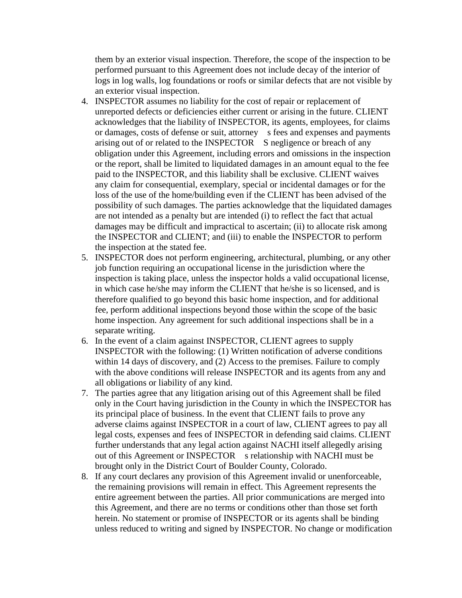them by an exterior visual inspection. Therefore, the scope of the inspection to be performed pursuant to this Agreement does not include decay of the interior of logs in log walls, log foundations or roofs or similar defects that are not visible by an exterior visual inspection.

- 4. INSPECTOR assumes no liability for the cost of repair or replacement of unreported defects or deficiencies either current or arising in the future. CLIENT acknowledges that the liability of INSPECTOR, its agents, employees, for claims or damages, costs of defense or suit, attorney s fees and expenses and payments arising out of or related to the INSPECTOR S negligence or breach of any obligation under this Agreement, including errors and omissions in the inspection or the report, shall be limited to liquidated damages in an amount equal to the fee paid to the INSPECTOR, and this liability shall be exclusive. CLIENT waives any claim for consequential, exemplary, special or incidental damages or for the loss of the use of the home/building even if the CLIENT has been advised of the possibility of such damages. The parties acknowledge that the liquidated damages are not intended as a penalty but are intended (i) to reflect the fact that actual damages may be difficult and impractical to ascertain; (ii) to allocate risk among the INSPECTOR and CLIENT; and (iii) to enable the INSPECTOR to perform the inspection at the stated fee.
- 5. INSPECTOR does not perform engineering, architectural, plumbing, or any other job function requiring an occupational license in the jurisdiction where the inspection is taking place, unless the inspector holds a valid occupational license, in which case he/she may inform the CLIENT that he/she is so licensed, and is therefore qualified to go beyond this basic home inspection, and for additional fee, perform additional inspections beyond those within the scope of the basic home inspection. Any agreement for such additional inspections shall be in a separate writing.
- 6. In the event of a claim against INSPECTOR, CLIENT agrees to supply INSPECTOR with the following: (1) Written notification of adverse conditions within 14 days of discovery, and (2) Access to the premises. Failure to comply with the above conditions will release INSPECTOR and its agents from any and all obligations or liability of any kind.
- 7. The parties agree that any litigation arising out of this Agreement shall be filed only in the Court having jurisdiction in the County in which the INSPECTOR has its principal place of business. In the event that CLIENT fails to prove any adverse claims against INSPECTOR in a court of law, CLIENT agrees to pay all legal costs, expenses and fees of INSPECTOR in defending said claims. CLIENT further understands that any legal action against NACHI itself allegedly arising out of this Agreement or INSPECTOR s relationship with NACHI must be brought only in the District Court of Boulder County, Colorado.
- 8. If any court declares any provision of this Agreement invalid or unenforceable, the remaining provisions will remain in effect. This Agreement represents the entire agreement between the parties. All prior communications are merged into this Agreement, and there are no terms or conditions other than those set forth herein. No statement or promise of INSPECTOR or its agents shall be binding unless reduced to writing and signed by INSPECTOR. No change or modification